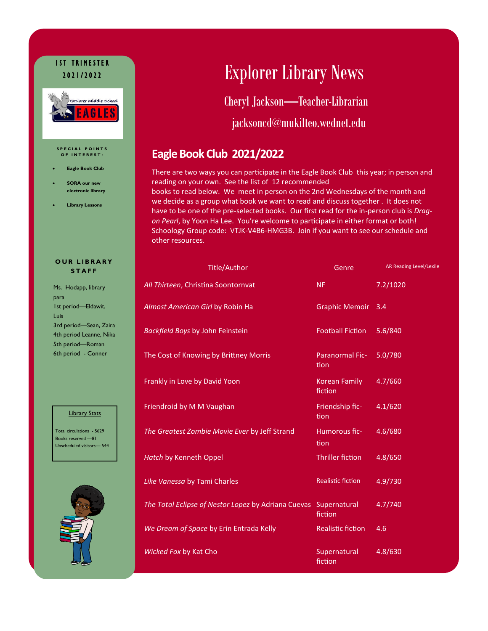## **IST TRIMESTER**



#### **S P E C I A L P O I N T S O F I N T E R E S T :**

- **Eagle Book Club**
- **SORA our new electronic library**
- **Library Lessons**

#### **O U R L I B R A R Y S T A F F**

Ms. Hodapp, library para 1st period—Eldawit, Luis 3rd period—Sean, Zaira 4th period Leanne, Nika 5th period—Roman 6th period - Conner

#### **Library Stats**

Total circulations - 5629 Books reserved —81 Unscheduled visitors— 544



## 2021/2022 **Explorer Library News**

Cheryl Jackson—Teacher-Librarian

jacksoncd@mukilteo.wednet.edu

### **Eagle Book Club 2021/2022**

There are two ways you can participate in the Eagle Book Club this year; in person and reading on your own. See the list of 12 recommended books to read below. We meet in person on the 2nd Wednesdays of the month and we decide as a group what book we want to read and discuss together . It does not have to be one of the pre-selected books. Our first read for the in-person club is *Dragon Pearl*, by Yoon Ha Lee. You're welcome to participate in either format or both! Schoology Group code: VTJK-V4B6-HMG3B. Join if you want to see our schedule and other resources.

| <b>Title/Author</b>                                              | Genre                           | <b>AR Reading Level/Lexile</b> |
|------------------------------------------------------------------|---------------------------------|--------------------------------|
| All Thirteen, Christina Soontornvat                              | <b>NF</b>                       | 7.2/1020                       |
| Almost American Girl by Robin Ha                                 | <b>Graphic Memoir</b>           | 3.4                            |
| <b>Backfield Boys by John Feinstein</b>                          | <b>Football Fiction</b>         | 5.6/840                        |
| The Cost of Knowing by Brittney Morris                           | <b>Paranormal Fic-</b><br>tion  | 5.0/780                        |
| Frankly in Love by David Yoon                                    | <b>Korean Family</b><br>fiction | 4.7/660                        |
| Friendroid by M M Vaughan                                        | Friendship fic-<br>tion         | 4.1/620                        |
| The Greatest Zombie Movie Ever by Jeff Strand                    | Humorous fic-<br>tion           | 4.6/680                        |
| Hatch by Kenneth Oppel                                           | <b>Thriller fiction</b>         | 4.8/650                        |
| Like Vanessa by Tami Charles                                     | <b>Realistic fiction</b>        | 4.9/730                        |
| The Total Eclipse of Nestor Lopez by Adriana Cuevas Supernatural | fiction                         | 4.7/740                        |
| We Dream of Space by Erin Entrada Kelly                          | <b>Realistic fiction</b>        | 4.6                            |
| Wicked Fox by Kat Cho                                            | Supernatural<br>fiction         | 4.8/630                        |